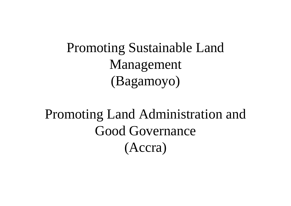Promoting Sustainable Land Management (Bagamoyo)

# Promoting Land Administration and Good Governance (Accra)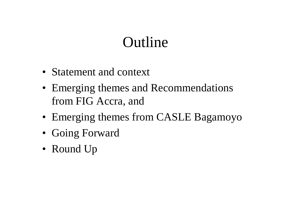# Outline

- Statement and context
- Emerging themes and Recommendations from FIG Accra, and
- Emerging themes from CASLE Bagamoyo
- Going Forward
- Round Up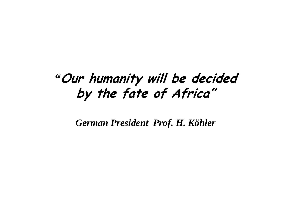#### *"*Our humanity will be decided by the fate of Africa"

*German President Prof. H. Köhler*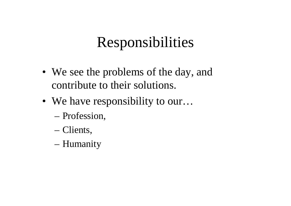# Responsibilities

- We see the problems of the day, and contribute to their solutions.
- We have responsibility to our...
	- –Profession,
	- Clients,
	- Humanity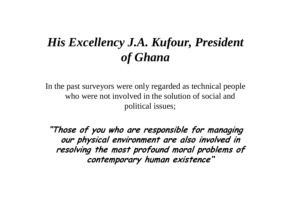#### *His Excellency J.A. Kufour, President of Ghana*

In the past surveyors were only regarded as technical people who were not involved in the solution of social and political issues;

"Those of you who are responsible for managing our physical environment are also involved in resolving the most profound moral problems of contemporary human existence"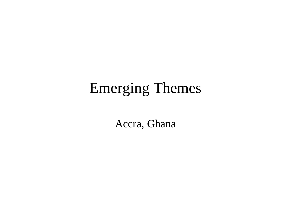# Emerging Themes

Accra, Ghana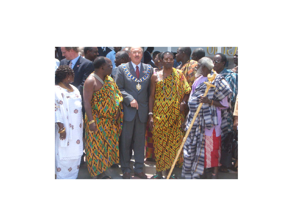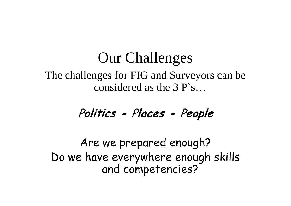# **Our Challenges**

The challenges for FIG and Surveyors can be considered as the  $3P$ 's...

Are we prepared enough? Do we have everywhere enough skills and competencies?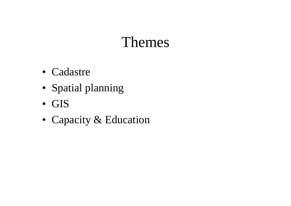### Themes

- Cadastre
- Spatial planning
- GIS
- Capacity & Education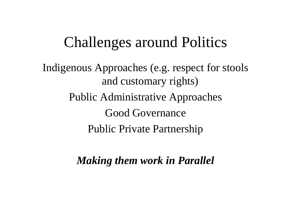## Challenges around Politics

Indigenous Approaches (e.g. respect for stools and customary rights) Public Administrative Approaches Good GovernancePublic Private Partnership

*Making them work in Parallel*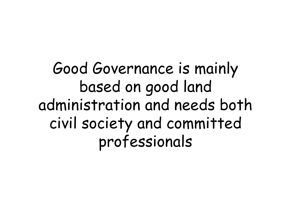Good Governance is mainly based on good land administration and needs both civil society and committed professionals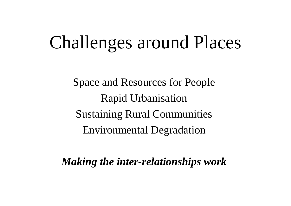# Challenges around Places

Space and Resources for People Rapid Urbanisation Sustaining Rural Communities Environmental Degradation

*Making the inter-relationships work*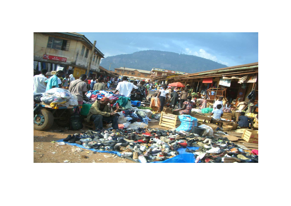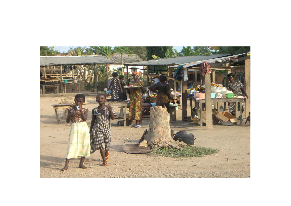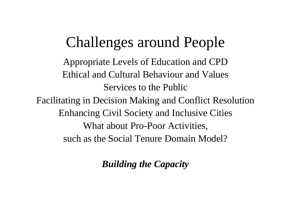Challenges around People Appropriate Levels of Education and CPD Ethical and Cultural Behaviour and ValuesServices to the PublicFacilitating in Decision Making and Conflict Resolution Enhancing Civil Society and Inclusive Cities What about Pro-Poor Activities, such as the Social Tenure Domain Model?

*Building the Capacity*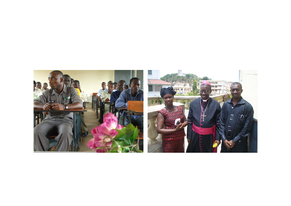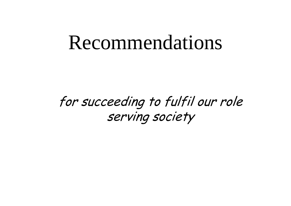# Recommendations

for succeeding to fulfil our role serving society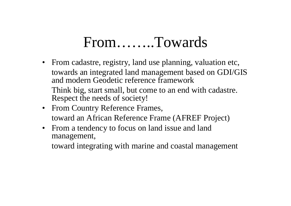### From……..Towards

• From cadastre, registry, land use planning, valuation etc, towards an integrated land management based on GDI/GIS and modern Geodetic reference framework

Think big, start small, but come to an end with cadastre. Respect the needs of society!

- From Country Reference Frames, toward an African Reference Frame (AFREF Project)
- From a tendency to focus on land issue and land management,

toward integrating with marine and coastal management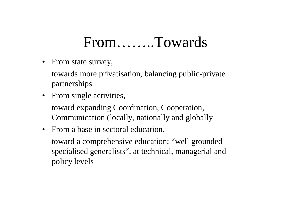### From……..Towards

• From state survey,

towards more privatisation, balancing public-private partnerships

• From single activities,

toward expanding Coordination, Cooperation, Communication (locally, nationally and globally

• From a base in sectoral education, toward a comprehensive education; "well grounded specialised generalists", at technical, managerial and policy levels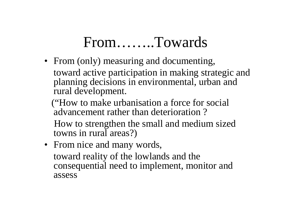## From……..Towards

- From (only) measuring and documenting, toward active participation in making strategic and planning decisions in environmental, urban and rural development.
	- ("How to make urbanisation a force for social advancement rather than deterioration ?

How to strengthen the small and medium sized towns in rural areas?)

• From nice and many words, toward reality of the lowlands and the consequential need to implement, monitor and assess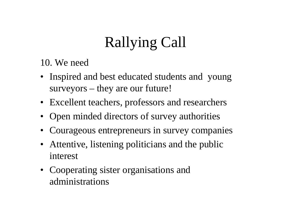# Rallying Call

10. We need

- Inspired and best educated students and young surveyors – they are our future!
- Excellent teachers, professors and researchers
- Open minded directors of survey authorities
- Courageous entrepreneurs in survey companies
- Attentive, listening politicians and the public interest
- Cooperating sister organisations and administrations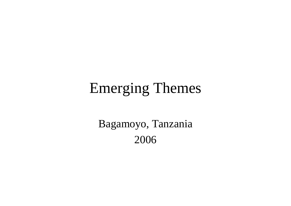# Emerging Themes

Bagamoyo, Tanzania 2006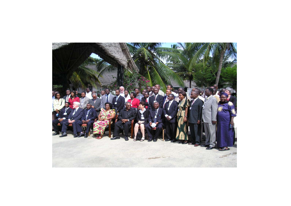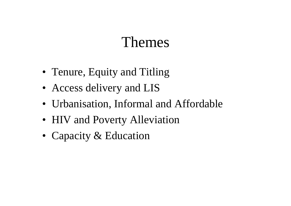### Themes

- Tenure, Equity and Titling
- Access delivery and LIS
- Urbanisation, Informal and Affordable
- HIV and Poverty Alleviation
- Capacity & Education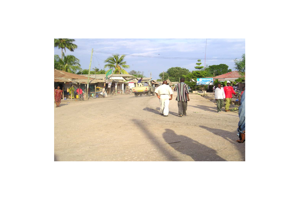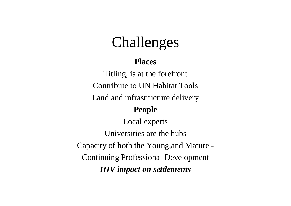# Challenges

#### **Places**

Titling, is at the forefront Contribute to UN Habitat Tools Land and infrastructure delivery **People**

Local experts Universities are the hubsCapacity of both the Young,and Mature - Continuing Professional Development *HIV impact on settlements*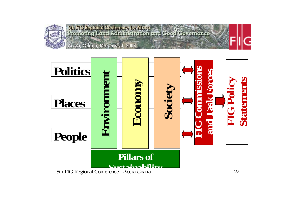

5th FIG Regional Conterence for Africa<br>Promoting Land Administration and Good Governance Accra, Ghana, March 8–11, 2006

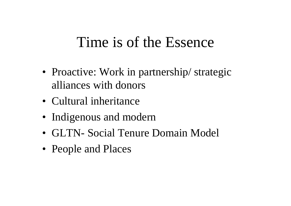### Time is of the Essence

- Proactive: Work in partnership/ strategic alliances with donors
- Cultural inheritance
- Indigenous and modern
- GLTN- Social Tenure Domain Model
- People and Places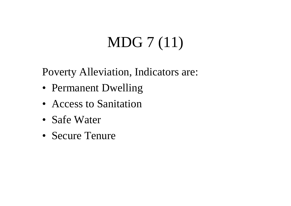# MDG 7 (11)

Poverty Alleviation, Indicators are:

- Permanent Dwelling
- Access to Sanitation
- Safe Water
- Secure Tenure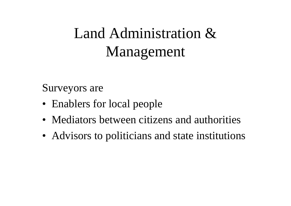# Land Administration & Management

#### Surveyors are

- Enablers for local people
- Mediators between citizens and authorities
- Advisors to politicians and state institutions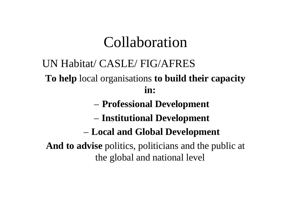# Collaboration

#### UN Habitat/ CASLE/ FIG/AFRES**To help** local organisations **to build their capacity in:**

#### **Professional Development**

–**Institutional Development**

#### **Local and Global Development**

**And to advise** politics, politicians and the public at the global and national level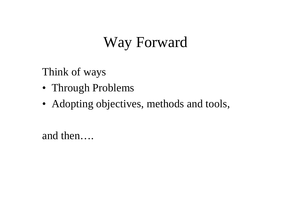# Way Forward

Think of ways

- Through Problems
- Adopting objectives, methods and tools,

and then….